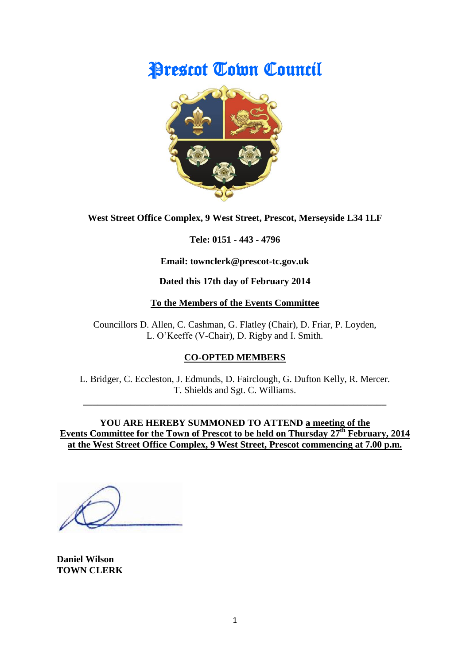# Prescot Town Council



**West Street Office Complex, 9 West Street, Prescot, Merseyside L34 1LF**

**Tele: 0151 - 443 - 4796**

**Email: townclerk@prescot-tc.gov.uk**

**Dated this 17th day of February 2014**

### **To the Members of the Events Committee**

Councillors D. Allen, C. Cashman, G. Flatley (Chair), D. Friar, P. Loyden, L. O'Keeffe (V-Chair), D. Rigby and I. Smith.

# **CO-OPTED MEMBERS**

L. Bridger, C. Eccleston, J. Edmunds, D. Fairclough, G. Dufton Kelly, R. Mercer. T. Shields and Sgt. C. Williams.

**\_\_\_\_\_\_\_\_\_\_\_\_\_\_\_\_\_\_\_\_\_\_\_\_\_\_\_\_\_\_\_\_\_\_\_\_\_\_\_\_\_\_\_\_\_\_\_\_\_\_\_\_\_\_\_\_\_\_\_\_\_\_\_\_**

**YOU ARE HEREBY SUMMONED TO ATTEND a meeting of the Events Committee for the Town of Prescot to be held on Thursday 27th February, 2014 at the West Street Office Complex, 9 West Street, Prescot commencing at 7.00 p.m.**

**Daniel Wilson TOWN CLERK**